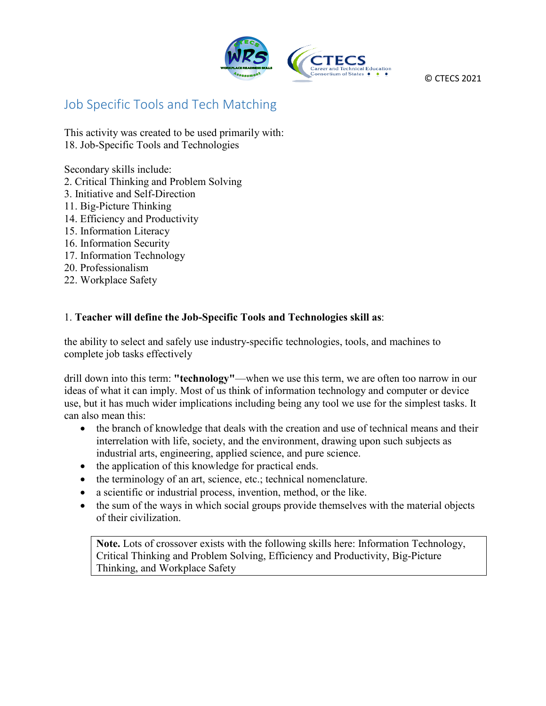

© CTECS 2021

## Job Specific Tools and Tech Matching

This activity was created to be used primarily with: 18. Job-Specific Tools and Technologies

Secondary skills include:

- 2. Critical Thinking and Problem Solving
- 3. Initiative and Self-Direction
- 11. Big-Picture Thinking
- 14. Efficiency and Productivity
- 15. Information Literacy
- 16. Information Security
- 17. Information Technology
- 20. Professionalism
- 22. Workplace Safety

## 1. **Teacher will define the Job-Specific Tools and Technologies skill as**:

the ability to select and safely use industry-specific technologies, tools, and machines to complete job tasks effectively

drill down into this term: **"technology"**—when we use this term, we are often too narrow in our ideas of what it can imply. Most of us think of information technology and computer or device use, but it has much wider implications including being any tool we use for the simplest tasks. It can also mean this:

- the branch of knowledge that deals with the creation and use of technical means and their interrelation with life, society, and the environment, drawing upon such subjects as industrial arts, engineering, applied science, and pure science.
- the application of this knowledge for practical ends.
- the terminology of an art, science, etc.; technical nomenclature.
- a scientific or industrial process, invention, method, or the like.
- the sum of the ways in which social groups provide themselves with the material objects of their civilization.

**Note.** Lots of crossover exists with the following skills here: Information Technology, Critical Thinking and Problem Solving, Efficiency and Productivity, Big-Picture Thinking, and Workplace Safety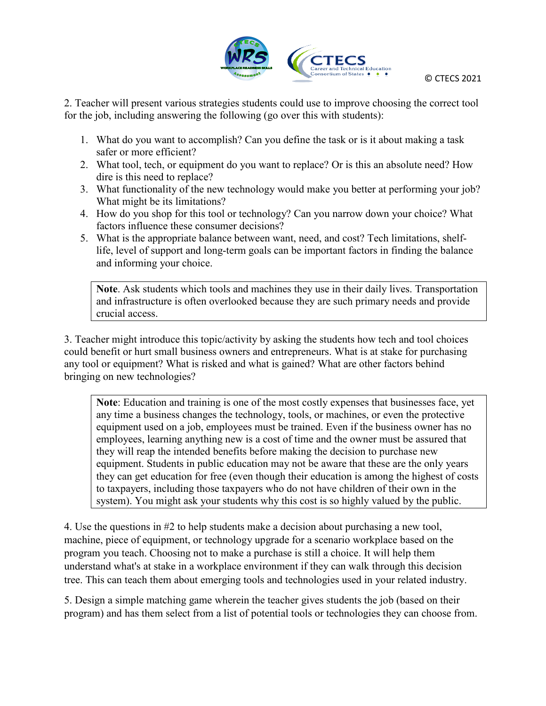

2. Teacher will present various strategies students could use to improve choosing the correct tool for the job, including answering the following (go over this with students):

- 1. What do you want to accomplish? Can you define the task or is it about making a task safer or more efficient?
- 2. What tool, tech, or equipment do you want to replace? Or is this an absolute need? How dire is this need to replace?
- 3. What functionality of the new technology would make you better at performing your job? What might be its limitations?
- 4. How do you shop for this tool or technology? Can you narrow down your choice? What factors influence these consumer decisions?
- 5. What is the appropriate balance between want, need, and cost? Tech limitations, shelflife, level of support and long-term goals can be important factors in finding the balance and informing your choice.

**Note**. Ask students which tools and machines they use in their daily lives. Transportation and infrastructure is often overlooked because they are such primary needs and provide crucial access.

3. Teacher might introduce this topic/activity by asking the students how tech and tool choices could benefit or hurt small business owners and entrepreneurs. What is at stake for purchasing any tool or equipment? What is risked and what is gained? What are other factors behind bringing on new technologies?

**Note**: Education and training is one of the most costly expenses that businesses face, yet any time a business changes the technology, tools, or machines, or even the protective equipment used on a job, employees must be trained. Even if the business owner has no employees, learning anything new is a cost of time and the owner must be assured that they will reap the intended benefits before making the decision to purchase new equipment. Students in public education may not be aware that these are the only years they can get education for free (even though their education is among the highest of costs to taxpayers, including those taxpayers who do not have children of their own in the system). You might ask your students why this cost is so highly valued by the public.

4. Use the questions in #2 to help students make a decision about purchasing a new tool, machine, piece of equipment, or technology upgrade for a scenario workplace based on the program you teach. Choosing not to make a purchase is still a choice. It will help them understand what's at stake in a workplace environment if they can walk through this decision tree. This can teach them about emerging tools and technologies used in your related industry.

5. Design a simple matching game wherein the teacher gives students the job (based on their program) and has them select from a list of potential tools or technologies they can choose from.